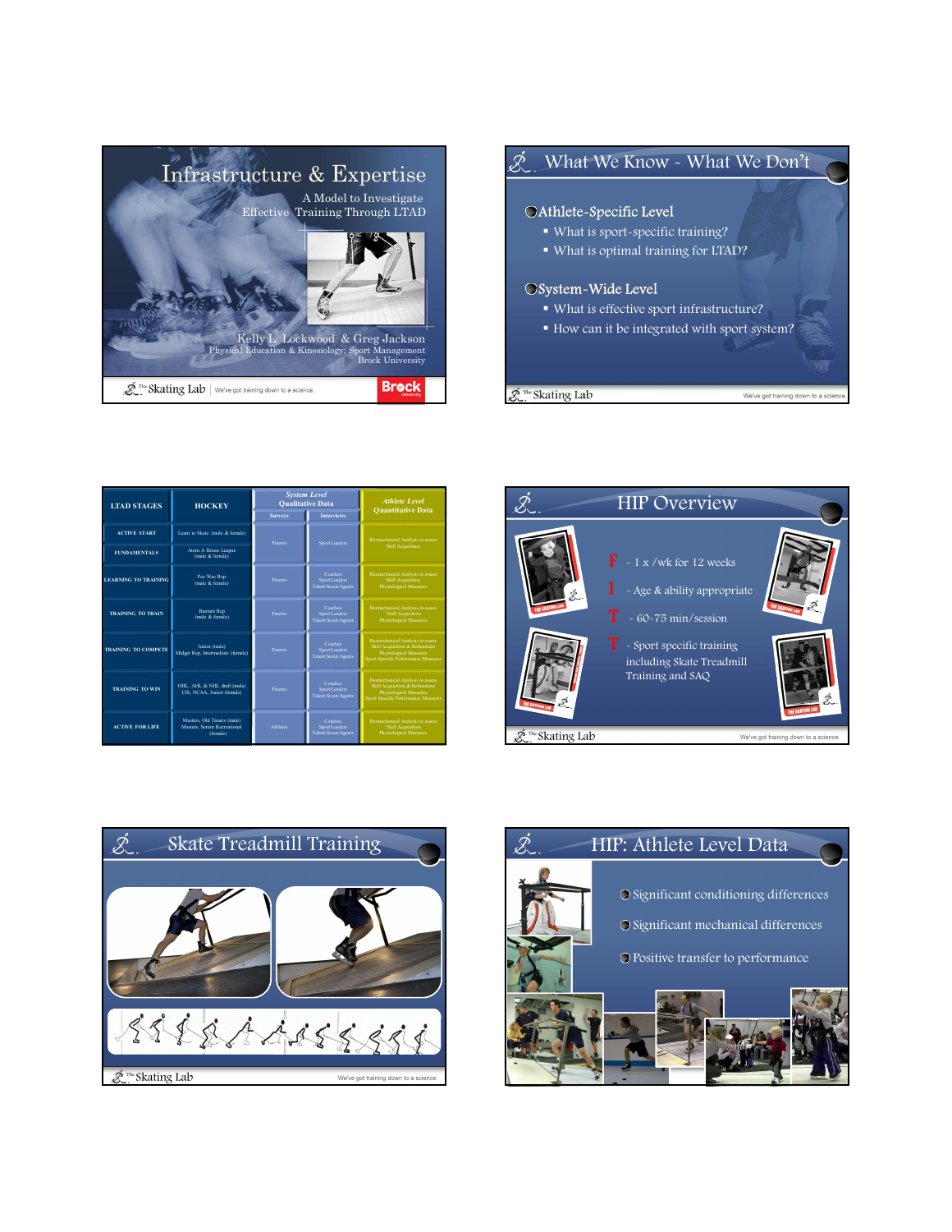



| <b>LTAD STAGES</b>          | <b>HOCKEY</b>                                                          | <b>System Level</b><br><b>Qualitative Data</b><br><b>Interviews</b><br><b>Surveys</b> |                                                        | <b>Athlete Level</b><br><b>Quantitative Data</b>                                                                                           |  |                                                          | <b>HIP Ov</b>           |
|-----------------------------|------------------------------------------------------------------------|---------------------------------------------------------------------------------------|--------------------------------------------------------|--------------------------------------------------------------------------------------------------------------------------------------------|--|----------------------------------------------------------|-------------------------|
| <b>ACTIVE START</b>         | Learn to Skate (male & female)                                         | Parents                                                                               | Sport Leaders                                          | <b>Biomechanical Analysis to assess</b><br><b>Skill Acquisition</b>                                                                        |  |                                                          |                         |
| <b>FUNDAMENTALS</b>         | Atom A House League<br>(male & female)                                 |                                                                                       |                                                        |                                                                                                                                            |  | dn.<br><b>THE SKATING LAW</b><br><b>THE SKATING LARA</b> | $\mathbf{F}$ - 1 x /wk  |
| <b>LEARNING TO TRAINING</b> | Pee Wee Rep<br>(male & female)                                         | Parents                                                                               | Coaches<br>Sport Leaders<br>Talent Scout/Agents        | <b>Biomechanical Analysis to assess</b><br><b>Skill Acquisition</b><br>Physiological Measures                                              |  |                                                          | - Age & al              |
| <b>TRAINING TO TRAIN</b>    | Bantam Rep<br>(male & female)                                          | Parents                                                                               | Coaches<br>Sport Leaders<br>Talent Scout/Agents        | <b>Biomechanical Analysis to assess</b><br>Skill Acquisition<br>Physiological Measures                                                     |  |                                                          | $-60-75$ r<br>Т         |
| <b>TRAINING TO COMPETE</b>  | Junior (male)<br>Midget Rep. Intermediate (female)                     | Parents                                                                               | Coaches<br>Sport Leaders<br>Talent Scout/Agents        | <b>Biomechanical Analysis to assess</b><br>Skill Acquisition & Refinement<br>Physiological Measures<br>Sport-Specific Performance Measures |  |                                                          | - Sport sp<br>including |
| <b>TRAINING TO WIN</b>      | OHL, AHL & NHL draft (male)<br>CIS, NCAA, Junior (female)              | Parents                                                                               | Coaches:<br>Sport Leaders<br>Talent Scout/Agents       | Biomechanical Analysis to assess-<br>Skill Acquisition & Refinement<br>Physiological Measures<br>Sport-Specific Performance Measures       |  |                                                          | Training a              |
| <b>ACTIVE FOR LIFE</b>      | Masters, Old Timers (male)<br>Masters, Senior Recreational<br>(female) | Athletes                                                                              | Coaches<br>Sport Leaders<br><b>Talent Scout/Agents</b> | <b>Biomechanical Analysis to assess</b><br><b>Skill Acquisition</b><br><b>Physiological Measures</b>                                       |  | $\mathcal{R}$ <sup>The</sup> Skating Lab                 |                         |